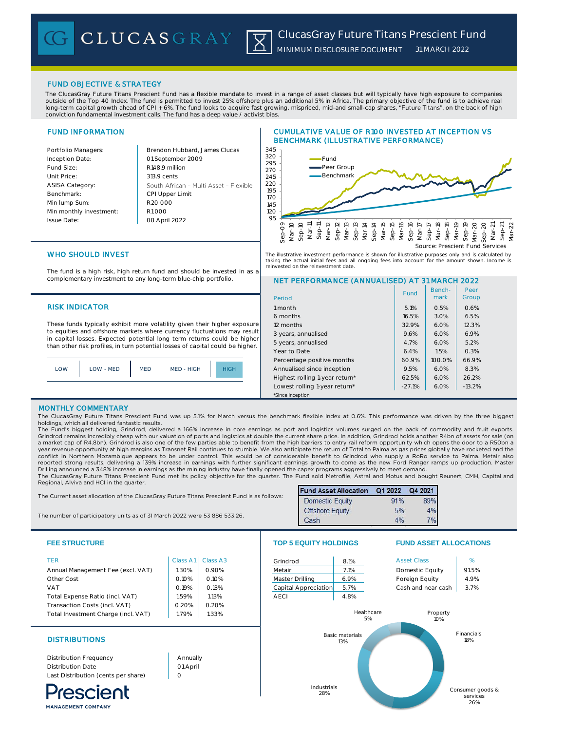CLUCASGRAY

## FUND OBJECTIVE & STRATEGY

The ClucasGray Future Titans Prescient Fund has a flexible mandate to invest in a range of asset classes but will typically have high exposure to companies outside of the Top 40 Index. The fund is permitted to invest 25% offshore plus an additional 5% in Africa. The primary objective of the fund is to achieve real long-term capital growth ahead of CPI + 6%. The fund looks to acquire fast growing, mispriced, mid-and small-cap shares, "**Future Titans**", on the back of high<br>conviction fundamental investment calls. The fund has a deep v

区

# FUND INFORMATION

| Portfolio Managers:     | Brendon Hubbard, James Clucas          | 345         |
|-------------------------|----------------------------------------|-------------|
| Inception Date:         | 01 September 2009                      | 320<br>295  |
| Fund Size:              | R148.9 million                         | 270         |
| Unit Price:             | 313.9 cents                            | 245         |
| <b>ASISA Category:</b>  | South African - Multi Asset - Flexible | 220         |
| Benchmark:              | CPI Upper Limit                        | 195<br>17 O |
| Min lump Sum:           | R <sub>20</sub> 000                    | 145         |
| Min monthly investment: | R1000                                  | 12 O        |
| Issue Date:             | 08 April 2022                          | 95          |

# CUMULATIVE VALUE OF R100 INVESTED AT INCEPTION VS BENCHMARK (ILLUSTRATIVE PERFORMANCE)



The illustrative investment performance is shown for illustrative purposes only and is calculated by taking the actual initial fees and all ongoing fees into account for the amount shown. Income is ested on the reinvestment date.

# WHO SHOULD INVEST

The fund is a high risk, high return fund and should be invested in as a complementary investment to any long-term blue-chip portfolio.

## **RISK INDICATOR**

These funds typically exhibit more volatility given their higher exposure to equities and offshore markets where currency fluctuations may result in capital losses. Expected potential long term returns could be higher than other risk profiles, in turn potential losses of capital could be higher.



## NET PERFORMANCE (ANNUALISED) AT 31 MARCH 2022

| Period                         | Fund     | Bench-<br>mark | Peer<br>Group |
|--------------------------------|----------|----------------|---------------|
| 1 month                        | 5.1%     | 0.5%           | 0.6%          |
| 6 months                       | 16.5%    | 3.0%           | 6.5%          |
| 12 months                      | 32.9%    | 6.0%           | 12.3%         |
| 3 years, annualised            | 9.6%     | 6.0%           | 6.9%          |
| 5 years, annualised            | 4.7%     | 6.0%           | 5.2%          |
| Year to Date                   | 6.4%     | 1.5%           | 0.3%          |
| Percentage positive months     | 60.9%    | 100.0%         | 66.9%         |
| Annualised since inception     | 9.5%     | 6.0%           | 8.3%          |
| Highest rolling 1-year return* | 62.5%    | 6.0%           | 26.2%         |
| Lowest rolling 1-year return*  | $-27.1%$ | 6.0%           | $-13.2%$      |
| *Since inception               |          |                |               |

## MONTHLY COMMENTARY

**MANAGEMENT COMPANY** 

The ClucasGray Future Titans Prescient Fund was up 5.1% for March versus the benchmark flexible index at 0.6%. This performance was driven by the three biggest holdings, which all delivered fantastic results.

The Fund's biggest holding, Grindrod, delivered a 166% increase in core earnings as port and logistics volumes surged on the back of commodity and fruit exports. Grindrod remains incredibly cheap with our valuation of ports and logistics at double the current share price. In addition, Grindrod holds another R4bn of assets for sale (on a market cap of R4.8bn). Grindrod is also one of the few parties able to benefit from the high barriers to entry rail reform opportunity which opens the door to a R50bn a year revenue opportunity at high margins as Transnet Rail continues to stumble. We also anticipate the return of Total to Palma as gas prices globally have rocketed and the<br>conflict in Northern Mozambique appears to be und reported strong results, delivering a 139% increase in earnings with further significant earnings growth to come as the new Ford Ranger ramps up production. Master Drilling announced a 348% increase in earnings as the mining industry have finally opened the capex programs aggressively to meet demand.

The ClucasGray Future Titans Prescient Fund met its policy objective for the quarter. The Fund sold Metrofile, Astral and Motus and bought Reunert, CMH, Capital and Regional, Alviva and HCI in the quarter. Fund Asset Allocation Q1 2022 Q4 2021

| The Current asset allocation of the ClucasGray Future Titans Prescient Fund is as follows: |                                                                                                             |
|--------------------------------------------------------------------------------------------|-------------------------------------------------------------------------------------------------------------|
|                                                                                            | Domestic Equit<br>the company of the company of the company of the company of the company of the company of |

The number of participatory units as of 31 March 2022 were 53 886 533.26.

| <b>Domestic Equity</b> | 91% | 899            |
|------------------------|-----|----------------|
| <b>Offshore Equity</b> | 5%  | A <sub>0</sub> |
| Cash                   | 1%  | 70/            |

services 26%

| <b>FEE STRUCTURE</b>                |          | <b>TOP 5 EQUITY HOLDINGS</b> |                      | <b>FUND ASSET ALLOCATIONS</b> |                    |                              |
|-------------------------------------|----------|------------------------------|----------------------|-------------------------------|--------------------|------------------------------|
| <b>TER</b>                          | Class A1 | Class A <sub>3</sub>         | Grindrod             | 8.1%                          | <b>Asset Class</b> | %                            |
| Annual Management Fee (excl. VAT)   | 1.30%    | 0.90%                        | Metair               | 7.1%                          | Domestic Equity    | 91.5%                        |
| Other Cost                          | 0.10%    | 0.10%                        | Master Drilling      | 6.9%                          | Foreign Equity     | 4.9%                         |
| <b>VAT</b>                          | 0.19%    | 0.13%                        | Capital Appreciation | 5.7%                          | Cash and near cash | 3.7%                         |
| Total Expense Ratio (incl. VAT)     | 1.59%    | 1.13%                        | <b>AECI</b>          | 4.8%                          |                    |                              |
| Transaction Costs (incl. VAT)       | 0.20%    | 0.20%                        |                      |                               |                    |                              |
| Total Investment Charge (incl. VAT) | 1.79%    | 1.33%                        |                      | Healthcare<br>5%              | Property<br>10%    |                              |
| <b>DISTRIBUTIONS</b>                |          |                              |                      | <b>Basic materials</b><br>13% |                    | Financials<br>18%            |
| Distribution Frequency              | Annually |                              |                      |                               |                    |                              |
| Distribution Date                   | 01 April |                              |                      |                               |                    |                              |
| Last Distribution (cents per share) | $\circ$  |                              |                      |                               |                    |                              |
|                                     |          |                              | Industrials<br>28%   |                               |                    | Consumer goods &<br>services |